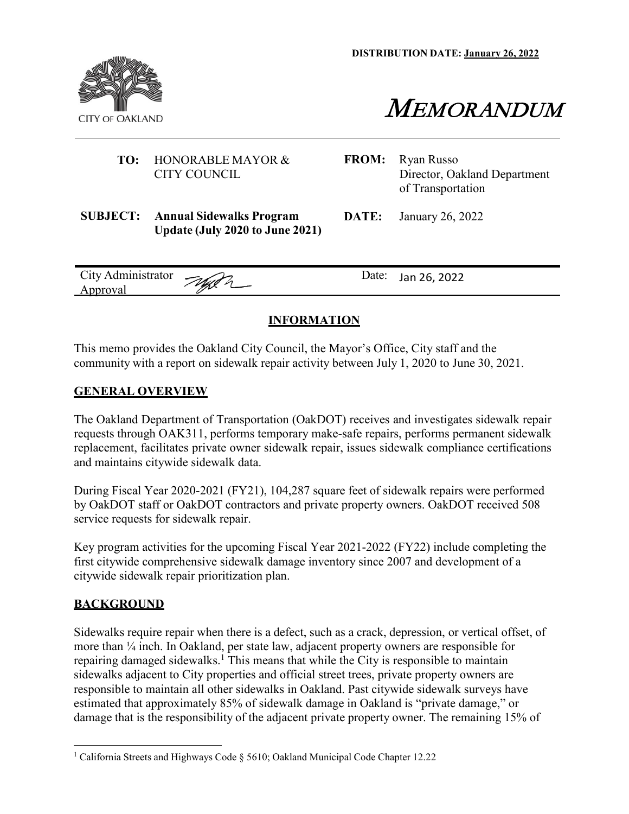**DISTRIBUTION DATE: January 26, 2022**



MEMORANDUM

#### **TO:** HONORABLE MAYOR & CITY COUNCIL

- **FROM:** Ryan Russo Director, Oakland Department of Transportation
- **SUBJECT: Annual Sidewalks Program Update (July 2020 to June 2021)**

**DATE:** January 26, 2022

| City Administrator $\mathcal{W}$ |   | Date: Jan 26, 2022 |
|----------------------------------|---|--------------------|
| <u>Approval</u>                  | m |                    |

### **INFORMATION**

This memo provides the Oakland City Council, the Mayor's Office, City staff and the community with a report on sidewalk repair activity between July 1, 2020 to June 30, 2021.

### **GENERAL OVERVIEW**

The Oakland Department of Transportation (OakDOT) receives and investigates sidewalk repair requests through OAK311, performs temporary make-safe repairs, performs permanent sidewalk replacement, facilitates private owner sidewalk repair, issues sidewalk compliance certifications and maintains citywide sidewalk data.

During Fiscal Year 2020-2021 (FY21), 104,287 square feet of sidewalk repairs were performed by OakDOT staff or OakDOT contractors and private property owners. OakDOT received 508 service requests for sidewalk repair.

Key program activities for the upcoming Fiscal Year 2021-2022 (FY22) include completing the first citywide comprehensive sidewalk damage inventory since 2007 and development of a citywide sidewalk repair prioritization plan.

## **BACKGROUND**

Sidewalks require repair when there is a defect, such as a crack, depression, or vertical offset, of more than ¼ inch. In Oakland, per state law, adjacent property owners are responsible for repairing damaged sidewalks.<sup>1</sup> This means that while the City is responsible to maintain sidewalks adjacent to City properties and official street trees, private property owners are responsible to maintain all other sidewalks in Oakland. Past citywide sidewalk surveys have estimated that approximately 85% of sidewalk damage in Oakland is "private damage," or damage that is the responsibility of the adjacent private property owner. The remaining 15% of

<sup>1</sup> California Streets and Highways Code § 5610; Oakland Municipal Code Chapter 12.22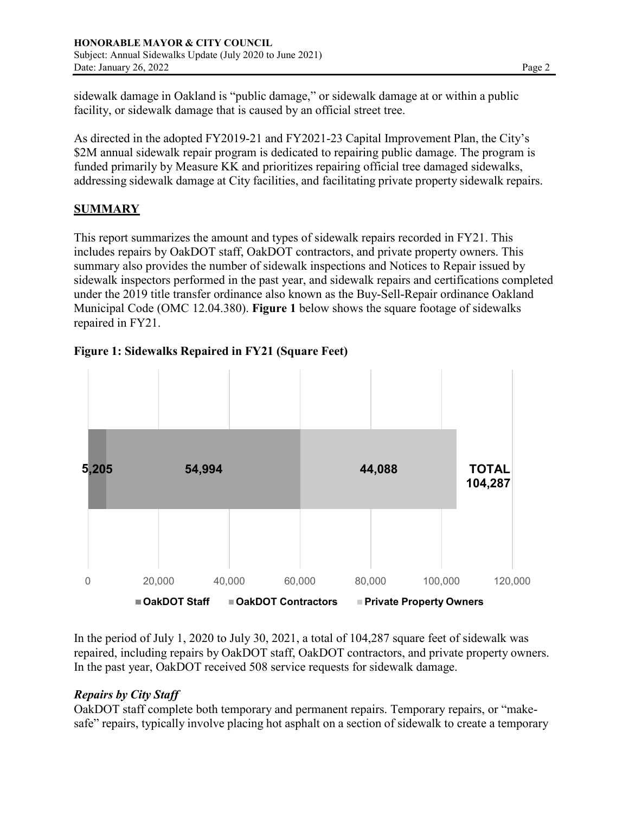sidewalk damage in Oakland is "public damage," or sidewalk damage at or within a public facility, or sidewalk damage that is caused by an official street tree.

As directed in the adopted FY2019-21 and FY2021-23 Capital Improvement Plan, the City's \$2M annual sidewalk repair program is dedicated to repairing public damage. The program is funded primarily by Measure KK and prioritizes repairing official tree damaged sidewalks, addressing sidewalk damage at City facilities, and facilitating private property sidewalk repairs.

# **SUMMARY**

This report summarizes the amount and types of sidewalk repairs recorded in FY21. This includes repairs by OakDOT staff, OakDOT contractors, and private property owners. This summary also provides the number of sidewalk inspections and Notices to Repair issued by sidewalk inspectors performed in the past year, and sidewalk repairs and certifications completed under the 2019 title transfer ordinance also known as the Buy-Sell-Repair ordinance Oakland Municipal Code (OMC 12.04.380). **Figure 1** below shows the square footage of sidewalks repaired in FY21.



# **Figure 1: Sidewalks Repaired in FY21 (Square Feet)**

In the period of July 1, 2020 to July 30, 2021, a total of 104,287 square feet of sidewalk was repaired, including repairs by OakDOT staff, OakDOT contractors, and private property owners. In the past year, OakDOT received 508 service requests for sidewalk damage.

## *Repairs by City Staff*

OakDOT staff complete both temporary and permanent repairs. Temporary repairs, or "makesafe" repairs, typically involve placing hot asphalt on a section of sidewalk to create a temporary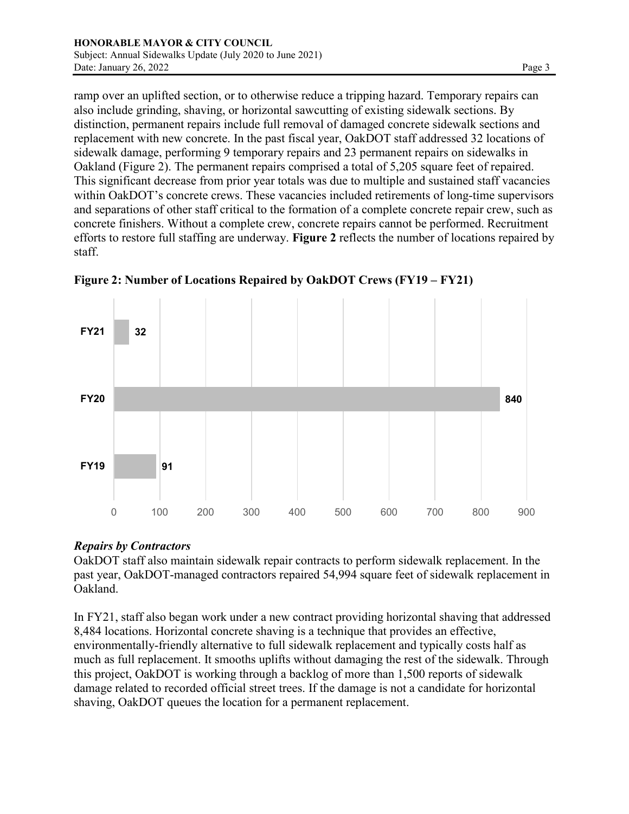ramp over an uplifted section, or to otherwise reduce a tripping hazard. Temporary repairs can also include grinding, shaving, or horizontal sawcutting of existing sidewalk sections. By distinction, permanent repairs include full removal of damaged concrete sidewalk sections and replacement with new concrete. In the past fiscal year, OakDOT staff addressed 32 locations of sidewalk damage, performing 9 temporary repairs and 23 permanent repairs on sidewalks in Oakland (Figure 2). The permanent repairs comprised a total of 5,205 square feet of repaired. This significant decrease from prior year totals was due to multiple and sustained staff vacancies within OakDOT's concrete crews. These vacancies included retirements of long-time supervisors and separations of other staff critical to the formation of a complete concrete repair crew, such as concrete finishers. Without a complete crew, concrete repairs cannot be performed. Recruitment efforts to restore full staffing are underway. **Figure 2** reflects the number of locations repaired by staff.



**Figure 2: Number of Locations Repaired by OakDOT Crews (FY19 – FY21)**

## *Repairs by Contractors*

OakDOT staff also maintain sidewalk repair contracts to perform sidewalk replacement. In the past year, OakDOT-managed contractors repaired 54,994 square feet of sidewalk replacement in Oakland.

In FY21, staff also began work under a new contract providing horizontal shaving that addressed 8,484 locations. Horizontal concrete shaving is a technique that provides an effective, environmentally-friendly alternative to full sidewalk replacement and typically costs half as much as full replacement. It smooths uplifts without damaging the rest of the sidewalk. Through this project, OakDOT is working through a backlog of more than 1,500 reports of sidewalk damage related to recorded official street trees. If the damage is not a candidate for horizontal shaving, OakDOT queues the location for a permanent replacement.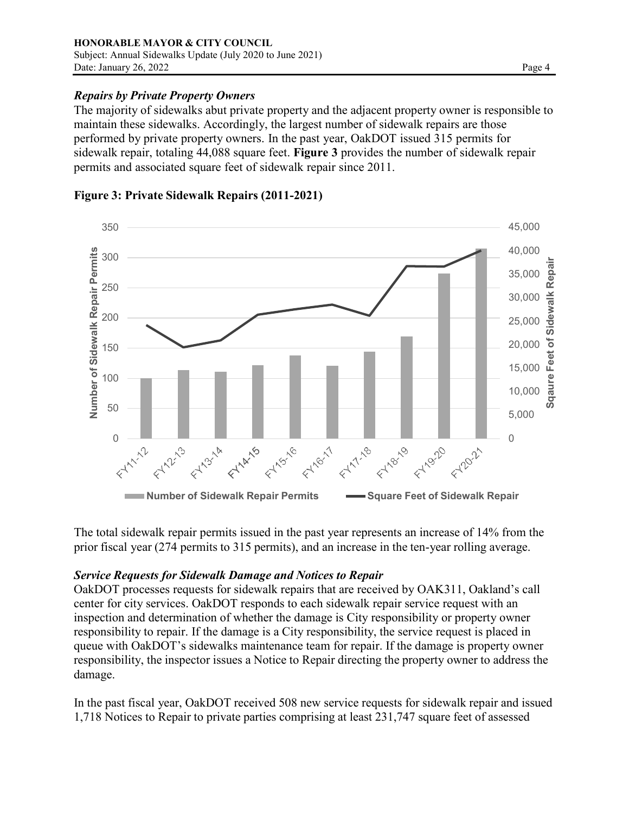### *Repairs by Private Property Owners*

The majority of sidewalks abut private property and the adjacent property owner is responsible to maintain these sidewalks. Accordingly, the largest number of sidewalk repairs are those performed by private property owners. In the past year, OakDOT issued 315 permits for sidewalk repair, totaling 44,088 square feet. **Figure 3** provides the number of sidewalk repair permits and associated square feet of sidewalk repair since 2011.



### **Figure 3: Private Sidewalk Repairs (2011-2021)**

The total sidewalk repair permits issued in the past year represents an increase of 14% from the prior fiscal year (274 permits to 315 permits), and an increase in the ten-year rolling average.

### *Service Requests for Sidewalk Damage and Notices to Repair*

OakDOT processes requests for sidewalk repairs that are received by OAK311, Oakland's call center for city services. OakDOT responds to each sidewalk repair service request with an inspection and determination of whether the damage is City responsibility or property owner responsibility to repair. If the damage is a City responsibility, the service request is placed in queue with OakDOT's sidewalks maintenance team for repair. If the damage is property owner responsibility, the inspector issues a Notice to Repair directing the property owner to address the damage.

In the past fiscal year, OakDOT received 508 new service requests for sidewalk repair and issued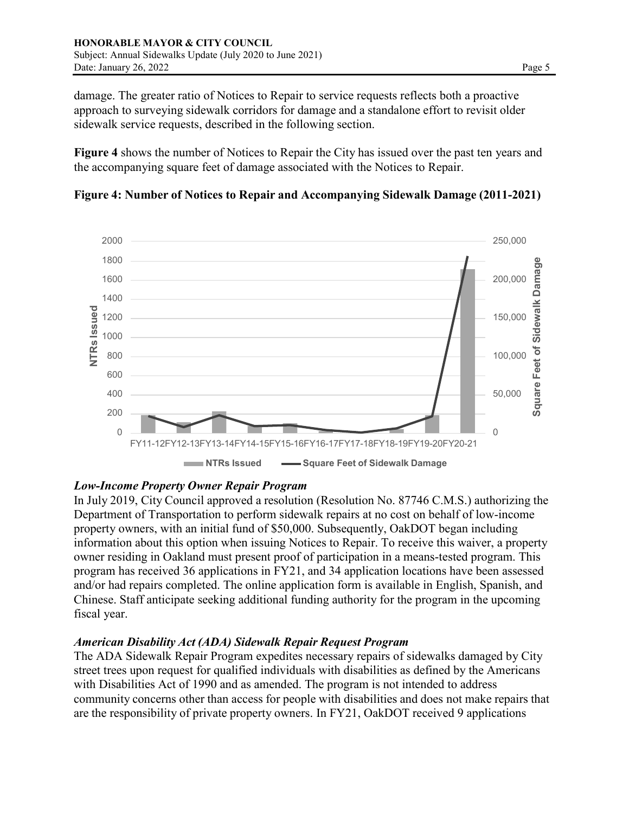damage. The greater ratio of Notices to Repair to service requests reflects both a proactive approach to surveying sidewalk corridors for damage and a standalone effort to revisit older sidewalk service requests, described in the following section.

**Figure 4** shows the number of Notices to Repair the City has issued over the past ten years and the accompanying square feet of damage associated with the Notices to Repair.





## *Low-Income Property Owner Repair Program*

In July 2019, City Council approved a resolution (Resolution No. 87746 C.M.S.) authorizing the Department of Transportation to perform sidewalk repairs at no cost on behalf of low-income property owners, with an initial fund of \$50,000. Subsequently, OakDOT began including information about this option when issuing Notices to Repair. To receive this waiver, a property owner residing in Oakland must present proof of participation in a means-tested program. This program has received 36 applications in FY21, and 34 application locations have been assessed and/or had repairs completed. The online application form is available in English, Spanish, and Chinese. Staff anticipate seeking additional funding authority for the program in the upcoming fiscal year.

### *American Disability Act (ADA) Sidewalk Repair Request Program*

The ADA Sidewalk Repair Program expedites necessary repairs of sidewalks damaged by City street trees upon request for qualified individuals with disabilities as defined by the Americans with Disabilities Act of 1990 and as amended. The program is not intended to address community concerns other than access for people with disabilities and does not make repairs that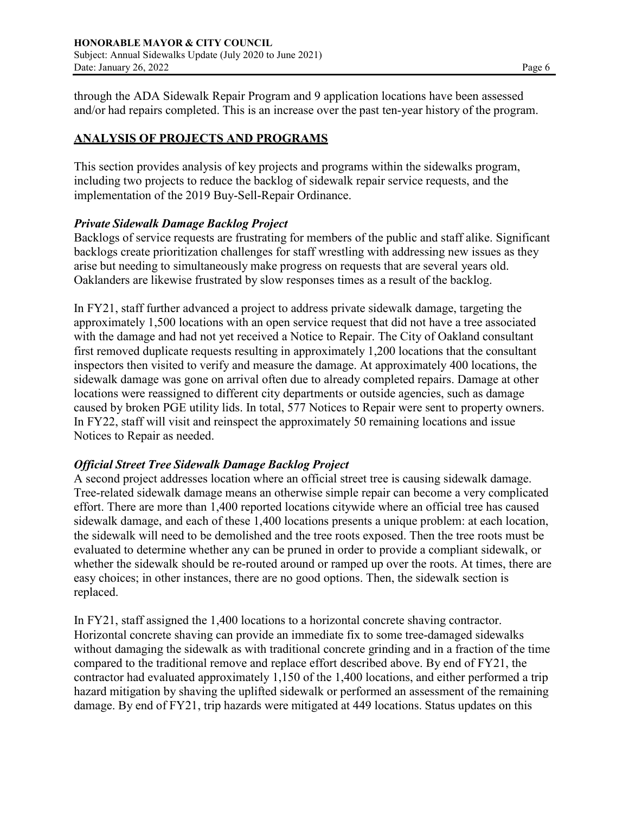through the ADA Sidewalk Repair Program and 9 application locations have been assessed and/or had repairs completed. This is an increase over the past ten-year history of the program.

## **ANALYSIS OF PROJECTS AND PROGRAMS**

This section provides analysis of key projects and programs within the sidewalks program, including two projects to reduce the backlog of sidewalk repair service requests, and the implementation of the 2019 Buy-Sell-Repair Ordinance.

### *Private Sidewalk Damage Backlog Project*

Backlogs of service requests are frustrating for members of the public and staff alike. Significant backlogs create prioritization challenges for staff wrestling with addressing new issues as they arise but needing to simultaneously make progress on requests that are several years old. Oaklanders are likewise frustrated by slow responses times as a result of the backlog.

In FY21, staff further advanced a project to address private sidewalk damage, targeting the approximately 1,500 locations with an open service request that did not have a tree associated with the damage and had not yet received a Notice to Repair. The City of Oakland consultant first removed duplicate requests resulting in approximately 1,200 locations that the consultant inspectors then visited to verify and measure the damage. At approximately 400 locations, the sidewalk damage was gone on arrival often due to already completed repairs. Damage at other locations were reassigned to different city departments or outside agencies, such as damage caused by broken PGE utility lids. In total, 577 Notices to Repair were sent to property owners. In FY22, staff will visit and reinspect the approximately 50 remaining locations and issue Notices to Repair as needed.

#### *Official Street Tree Sidewalk Damage Backlog Project*

A second project addresses location where an official street tree is causing sidewalk damage. Tree-related sidewalk damage means an otherwise simple repair can become a very complicated effort. There are more than 1,400 reported locations citywide where an official tree has caused sidewalk damage, and each of these 1,400 locations presents a unique problem: at each location, the sidewalk will need to be demolished and the tree roots exposed. Then the tree roots must be evaluated to determine whether any can be pruned in order to provide a compliant sidewalk, or whether the sidewalk should be re-routed around or ramped up over the roots. At times, there are easy choices; in other instances, there are no good options. Then, the sidewalk section is replaced.

In FY21, staff assigned the 1,400 locations to a horizontal concrete shaving contractor. Horizontal concrete shaving can provide an immediate fix to some tree-damaged sidewalks without damaging the sidewalk as with traditional concrete grinding and in a fraction of the time compared to the traditional remove and replace effort described above. By end of FY21, the contractor had evaluated approximately 1,150 of the 1,400 locations, and either performed a trip hazard mitigation by shaving the uplifted sidewalk or performed an assessment of the remaining damage. By end of FY21, trip hazards were mitigated at 449 locations. Status updates on this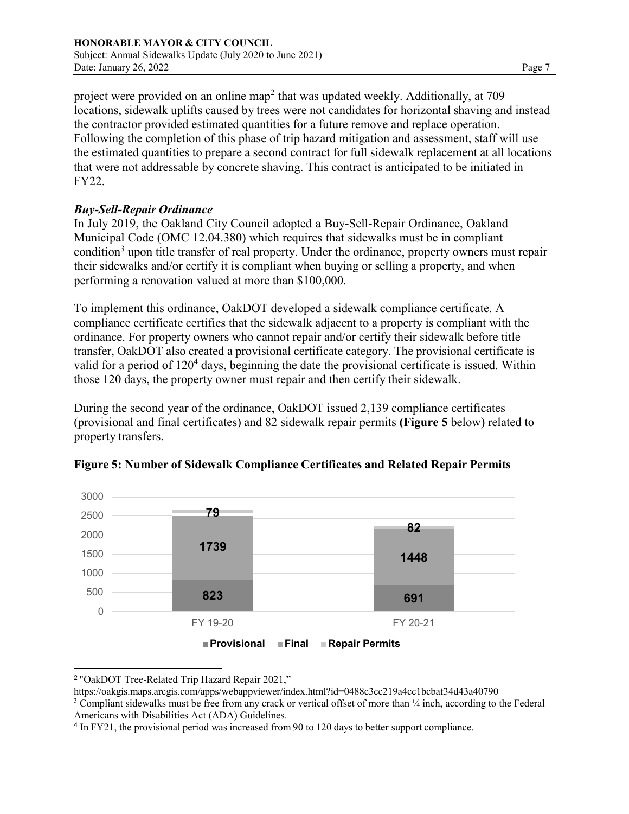project were provided on an online map<sup>2</sup> that was updated weekly. Additionally, at 709 locations, sidewalk uplifts caused by trees were not candidates for horizontal shaving and instead the contractor provided estimated quantities for a future remove and replace operation. Following the completion of this phase of trip hazard mitigation and assessment, staff will use the estimated quantities to prepare a second contract for full sidewalk replacement at all locations that were not addressable by concrete shaving. This contract is anticipated to be initiated in FY22.

### *Buy-Sell-Repair Ordinance*

In July 2019, the Oakland City Council adopted a Buy-Sell-Repair Ordinance, Oakland Municipal Code (OMC 12.04.380) which requires that sidewalks must be in compliant condition<sup>3</sup> upon title transfer of real property. Under the ordinance, property owners must repair their sidewalks and/or certify it is compliant when buying or selling a property, and when performing a renovation valued at more than \$100,000.

To implement this ordinance, OakDOT developed a sidewalk compliance certificate. A compliance certificate certifies that the sidewalk adjacent to a property is compliant with the ordinance. For property owners who cannot repair and/or certify their sidewalk before title transfer, OakDOT also created a provisional certificate category. The provisional certificate is valid for a period of  $120<sup>4</sup>$  days, beginning the date the provisional certificate is issued. Within those 120 days, the property owner must repair and then certify their sidewalk.

During the second year of the ordinance, OakDOT issued 2,139 compliance certificates (provisional and final certificates) and 82 sidewalk repair permits **(Figure 5** below) related to property transfers.



**Figure 5: Number of Sidewalk Compliance Certificates and Related Repair Permits**



<sup>2</sup> "OakDOT Tree-Related Trip Hazard Repair 2021,"

https://oakgis.maps.arcgis.com/apps/webappviewer/index.html?id=0488c3cc219a4cc1bcbaf34d43a40790

<sup>3</sup> Compliant sidewalks must be free from any crack or vertical offset of more than ¼ inch, according to the Federal Americans with Disabilities Act (ADA) Guidelines.

<sup>4</sup> In FY21, the provisional period was increased from 90 to 120 days to better support compliance.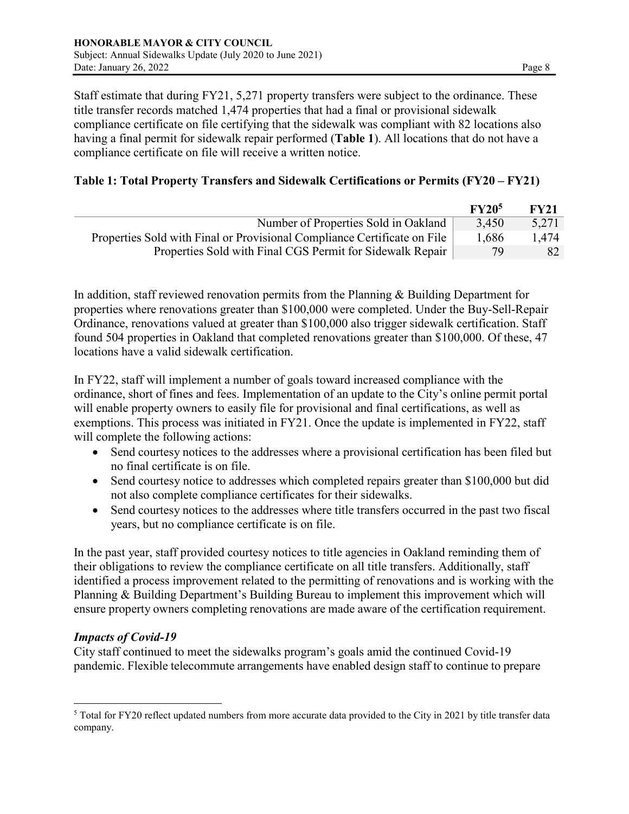Staff estimate that during FY21, 5,271 property transfers were subject to the ordinance. These title transfer records matched 1,474 properties that had a final or provisional sidewalk compliance certificate on file certifying that the sidewalk was compliant with 82 locations also having a final permit for sidewalk repair performed (**Table 1**). All locations that do not have a compliance certificate on file will receive a written notice.

### **Table 1: Total Property Transfers and Sidewalk Certifications or Permits (FY20 – FY21)**

|                                                                          | FY20 <sup>5</sup> | <b>FY21</b> |
|--------------------------------------------------------------------------|-------------------|-------------|
| Number of Properties Sold in Oakland                                     | 3.450             | 5,271       |
| Properties Sold with Final or Provisional Compliance Certificate on File |                   | 1.474       |
| Properties Sold with Final CGS Permit for Sidewalk Repair                | 79                | 82          |

In addition, staff reviewed renovation permits from the Planning & Building Department for properties where renovations greater than \$100,000 were completed. Under the Buy-Sell-Repair Ordinance, renovations valued at greater than \$100,000 also trigger sidewalk certification. Staff found 504 properties in Oakland that completed renovations greater than \$100,000. Of these, 47 locations have a valid sidewalk certification.

In FY22, staff will implement a number of goals toward increased compliance with the ordinance, short of fines and fees. Implementation of an update to the City's online permit portal will enable property owners to easily file for provisional and final certifications, as well as exemptions. This process was initiated in FY21. Once the update is implemented in FY22, staff will complete the following actions:

- Send courtesy notices to the addresses where a provisional certification has been filed but no final certificate is on file.
- Send courtesy notice to addresses which completed repairs greater than \$100,000 but did not also complete compliance certificates for their sidewalks.
- Send courtesy notices to the addresses where title transfers occurred in the past two fiscal years, but no compliance certificate is on file.

In the past year, staff provided courtesy notices to title agencies in Oakland reminding them of their obligations to review the compliance certificate on all title transfers. Additionally, staff identified a process improvement related to the permitting of renovations and is working with the Planning & Building Department's Building Bureau to implement this improvement which will ensure property owners completing renovations are made aware of the certification requirement.

### *Impacts of Covid-19*

City staff continued to meet the sidewalks program's goals amid the continued Covid-19 pandemic. Flexible telecommute arrangements have enabled design staff to continue to prepare

 $5$  Total for FY20 reflect updated numbers from more accurate data provided to the City in 2021 by title transfer data company.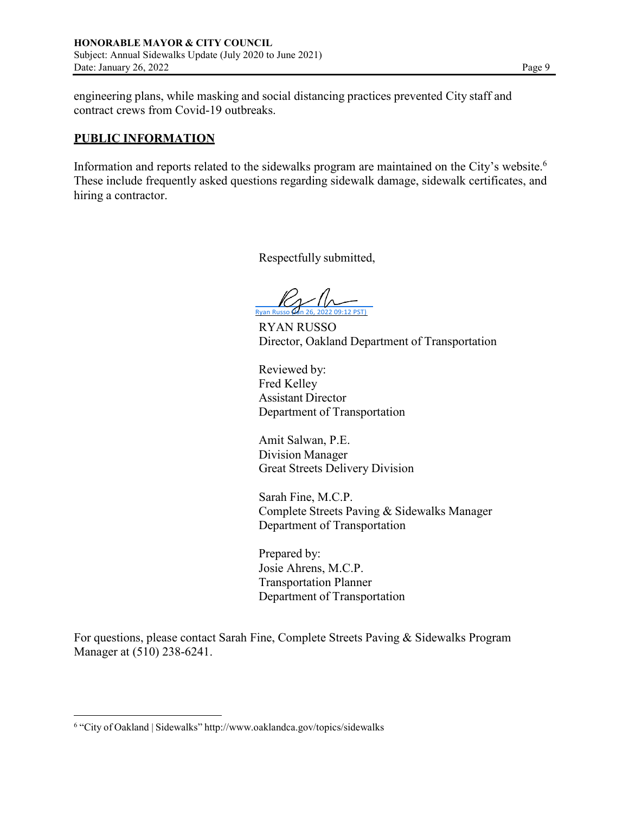engineering plans, while masking and social distancing practices prevented City staff and contract crews from Covid-19 outbreaks.

#### **PUBLIC INFORMATION**

Information and reports related to the sidewalks program are maintained on the City's website.6 These include frequently asked questions regarding sidewalk damage, sidewalk certificates, and hiring a contractor.

Respectfully submitted,

 $2\sqrt{N}$ 

RYAN RUSSO Director, Oakland Department of Transportation

Reviewed by: Fred Kelley Assistant Director Department of Transportation

Amit Salwan, P.E. Division Manager Great Streets Delivery Division

Sarah Fine, M.C.P. Complete Streets Paving & Sidewalks Manager Department of Transportation

Prepared by: Josie Ahrens, M.C.P. Transportation Planner Department of Transportation

For questions, please contact Sarah Fine, Complete Streets Paving & Sidewalks Program Manager at (510) 238-6241.

<sup>6</sup> "City of Oakland | Sidewalks" <http://www.oaklandca.gov/topics/sidewalks>